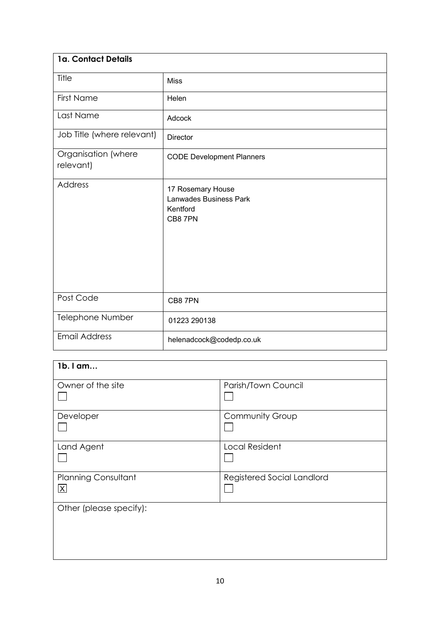| 1a. Contact Details              |                                                                    |
|----------------------------------|--------------------------------------------------------------------|
| Title                            | <b>Miss</b>                                                        |
| <b>First Name</b>                | Helen                                                              |
| Last Name                        | Adcock                                                             |
| Job Title (where relevant)       | Director                                                           |
| Organisation (where<br>relevant) | <b>CODE Development Planners</b>                                   |
| Address                          | 17 Rosemary House<br>Lanwades Business Park<br>Kentford<br>CB8 7PN |
| Post Code                        | CB8 7PN                                                            |
| Telephone Number                 | 01223 290138                                                       |
| <b>Email Address</b>             | helenadcock@codedp.co.uk                                           |

| 1b. I am                                              |                            |
|-------------------------------------------------------|----------------------------|
| Owner of the site                                     | Parish/Town Council        |
|                                                       |                            |
| Developer                                             | <b>Community Group</b>     |
|                                                       |                            |
| Land Agent                                            | <b>Local Resident</b>      |
| <b>Planning Consultant</b><br>$\overline{\mathsf{X}}$ | Registered Social Landlord |
| Other (please specify):                               |                            |
|                                                       |                            |
|                                                       |                            |
|                                                       |                            |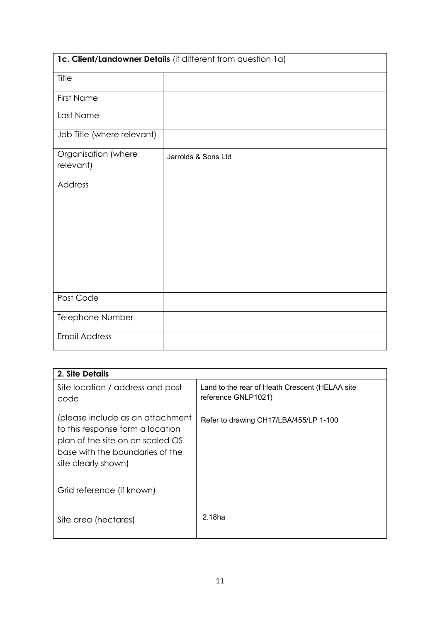| 1c. Client/Landowner Details (if different from question 1a) |                     |  |  |  |
|--------------------------------------------------------------|---------------------|--|--|--|
| Title                                                        |                     |  |  |  |
| <b>First Name</b>                                            |                     |  |  |  |
| Last Name                                                    |                     |  |  |  |
| Job Title (where relevant)                                   |                     |  |  |  |
| Organisation (where<br>relevant)                             | Jarrolds & Sons Ltd |  |  |  |
| Address                                                      |                     |  |  |  |
| Post Code                                                    |                     |  |  |  |
| Telephone Number                                             |                     |  |  |  |
| <b>Email Address</b>                                         |                     |  |  |  |

| 2. Site Details                                                                                                                                                    |                                                                       |
|--------------------------------------------------------------------------------------------------------------------------------------------------------------------|-----------------------------------------------------------------------|
| Site location / address and post<br>code                                                                                                                           | Land to the rear of Heath Crescent (HELAA site<br>reference GNLP1021) |
| (please include as an attachment<br>to this response form a location<br>plan of the site on an scaled OS<br>base with the boundaries of the<br>site clearly shown) | Refer to drawing CH17/LBA/455/LP 1-100                                |
| Grid reference (if known)                                                                                                                                          |                                                                       |
| Site area (hectares)                                                                                                                                               | 2.18 <sub>ha</sub>                                                    |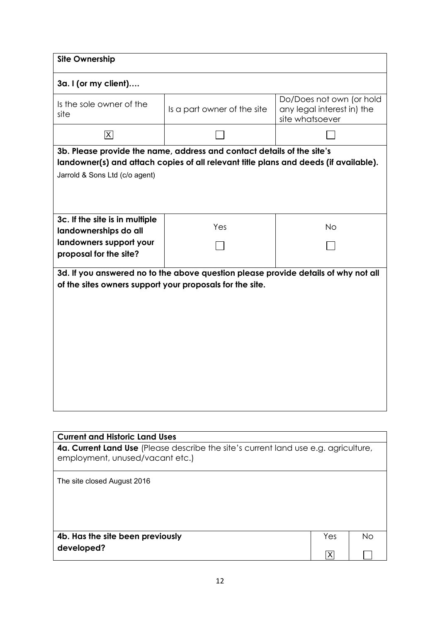| <b>Site Ownership</b>                                                                                                                          |                                                                                                                                                                |                                                                           |  |  |
|------------------------------------------------------------------------------------------------------------------------------------------------|----------------------------------------------------------------------------------------------------------------------------------------------------------------|---------------------------------------------------------------------------|--|--|
| 3a. I (or my client)                                                                                                                           |                                                                                                                                                                |                                                                           |  |  |
| Is the sole owner of the<br>site                                                                                                               | Is a part owner of the site                                                                                                                                    | Do/Does not own (or hold<br>any legal interest in) the<br>site whatsoever |  |  |
| $ \overline{\mathsf{x}} $                                                                                                                      |                                                                                                                                                                |                                                                           |  |  |
|                                                                                                                                                | 3b. Please provide the name, address and contact details of the site's<br>landowner(s) and attach copies of all relevant title plans and deeds (if available). |                                                                           |  |  |
| Jarrold & Sons Ltd (c/o agent)                                                                                                                 |                                                                                                                                                                |                                                                           |  |  |
|                                                                                                                                                |                                                                                                                                                                |                                                                           |  |  |
| 3c. If the site is in multiple<br>landownerships do all                                                                                        | Yes                                                                                                                                                            | <b>No</b>                                                                 |  |  |
| landowners support your<br>proposal for the site?                                                                                              |                                                                                                                                                                |                                                                           |  |  |
| 3d. If you answered no to the above question please provide details of why not all<br>of the sites owners support your proposals for the site. |                                                                                                                                                                |                                                                           |  |  |
| <b>Current and Historic Land Uses</b>                                                                                                          | Current Land Leo (Placea describe the site's current land use a a gariculture                                                                                  |                                                                           |  |  |

| <b>4a. Current Land Use</b> (Please describe the site's current land use e.g. agriculture,<br>employment, unused/vacant etc.) |     |    |
|-------------------------------------------------------------------------------------------------------------------------------|-----|----|
| The site closed August 2016                                                                                                   |     |    |
| 4b. Has the site been previously                                                                                              | Yes | Nο |
| developed?                                                                                                                    |     |    |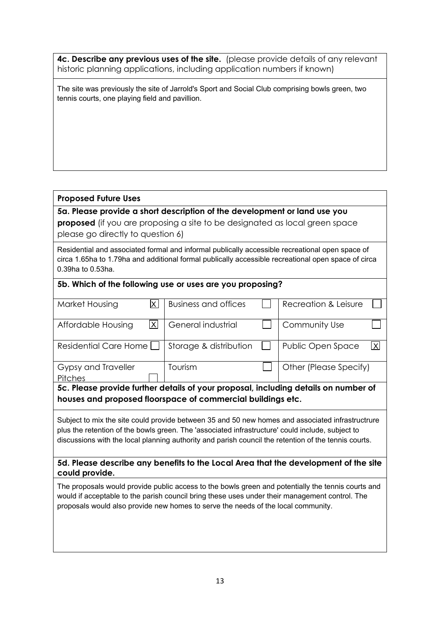**4c. Describe any previous uses of the site.** (please provide details of any relevant historic planning applications, including application numbers if known)

The site was previously the site of Jarrold's Sport and Social Club comprising bowls green, two tennis courts, one playing field and pavillion.

## **Proposed Future Uses**

**5a. Please provide a short description of the development or land use you proposed** (if you are proposing a site to be designated as local green space please go directly to question 6)

Residential and associated formal and informal publically accessible recreational open space of circa 1.65ha to 1.79ha and additional formal publically accessible recreational open space of circa 0.39ha to 0.53ha.

## **5b. Which of the following use or uses are you proposing?**

| Market Housing                                                                      |   | <b>Business and offices</b> |  | Recreation & Leisure   |     |
|-------------------------------------------------------------------------------------|---|-----------------------------|--|------------------------|-----|
|                                                                                     |   |                             |  |                        |     |
| Affordable Housing                                                                  | X | General industrial          |  | Community Use          |     |
|                                                                                     |   |                             |  |                        |     |
| Residential Care Home [                                                             |   | Storage & distribution      |  | Public Open Space      | IXI |
|                                                                                     |   |                             |  |                        |     |
| Gypsy and Traveller                                                                 |   | Tourism                     |  | Other (Please Specify) |     |
| <b>Pitches</b>                                                                      |   |                             |  |                        |     |
| 5c. Please provide further details of your proposal, including details on number of |   |                             |  |                        |     |

#### **houses and proposed floorspace of commercial buildings etc.**

Subject to mix the site could provide between 35 and 50 new homes and associated infrastructrure plus the retention of the bowls green. The 'associated infrastructure' could include, subject to discussions with the local planning authority and parish council the retention of the tennis courts.

**5d. Please describe any benefits to the Local Area that the development of the site could provide.**

The proposals would provide public access to the bowls green and potentially the tennis courts and would if acceptable to the parish council bring these uses under their management control. The proposals would also provide new homes to serve the needs of the local community.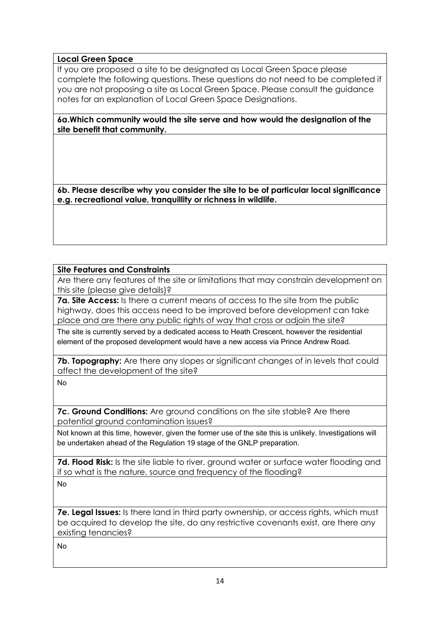# **Local Green Space**

If you are proposed a site to be designated as Local Green Space please complete the following questions. These questions do not need to be completed if you are not proposing a site as Local Green Space. Please consult the guidance notes for an explanation of Local Green Space Designations.

**6a.Which community would the site serve and how would the designation of the site benefit that community.** 

**6b. Please describe why you consider the site to be of particular local significance e.g. recreational value, tranquillity or richness in wildlife.** 

# **Site Features and Constraints**

Are there any features of the site or limitations that may constrain development on this site (please give details)?

**7a. Site Access:** Is there a current means of access to the site from the public highway, does this access need to be improved before development can take place and are there any public rights of way that cross or adjoin the site?

The site is currently served by a dedicated access to Heath Crescent, however the residential element of the proposed development would have a new access via Prince Andrew Road.

**7b. Topography:** Are there any slopes or significant changes of in levels that could affect the development of the site?

No

**7c. Ground Conditions:** Are ground conditions on the site stable? Are there potential ground contamination issues?

Not known at this time, however, given the former use of the site this is unlikely. Investigations will be undertaken ahead of the Regulation 19 stage of the GNLP preparation.

**7d. Flood Risk:** Is the site liable to river, ground water or surface water flooding and if so what is the nature, source and frequency of the flooding?

No

**7e. Legal Issues:** Is there land in third party ownership, or access rights, which must be acquired to develop the site, do any restrictive covenants exist, are there any existing tenancies?

No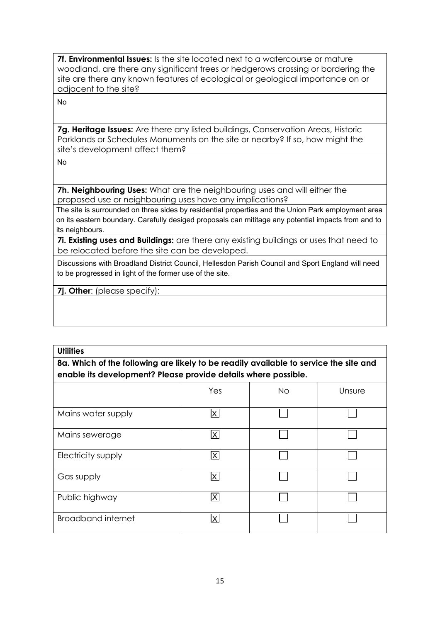**7f. Environmental Issues:** Is the site located next to a watercourse or mature woodland, are there any significant trees or hedgerows crossing or bordering the site are there any known features of ecological or geological importance on or adjacent to the site?

No

**7g. Heritage Issues:** Are there any listed buildings, Conservation Areas, Historic Parklands or Schedules Monuments on the site or nearby? If so, how might the site's development affect them?

No

**7h. Neighbouring Uses:** What are the neighbouring uses and will either the proposed use or neighbouring uses have any implications?

The site is surrounded on three sides by residential properties and the Union Park employment area on its eastern boundary. Carefully desiged proposals can mititage any potential impacts from and to its neighbours.

**7i. Existing uses and Buildings:** are there any existing buildings or uses that need to be relocated before the site can be developed.

Discussions with Broadland District Council, Hellesdon Parish Council and Sport England will need to be progressed in light of the former use of the site.

**7j. Other**: (please specify):

## **Utilities**

**8a. Which of the following are likely to be readily available to service the site and enable its development? Please provide details where possible.**

|                           | Yes                     | No | Unsure |
|---------------------------|-------------------------|----|--------|
| Mains water supply        | $\overline{\mathsf{X}}$ |    |        |
| Mains sewerage            | $\mathsf{X}$            |    |        |
| Electricity supply        | $\mathsf{X}$            |    |        |
| Gas supply                | $\overline{\mathsf{X}}$ |    |        |
| Public highway            | X                       |    |        |
| <b>Broadband internet</b> | X                       |    |        |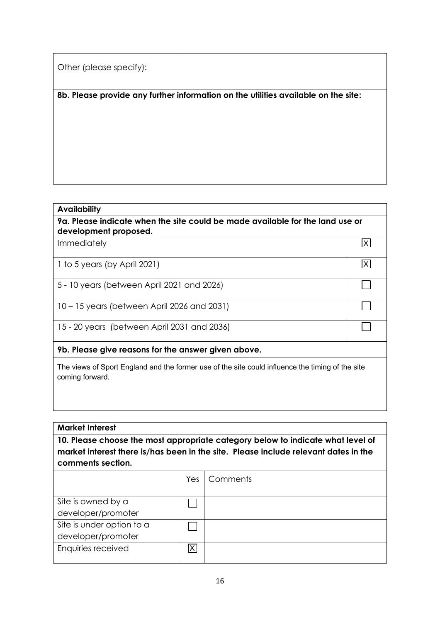| Other (please specify): |                                                                                    |
|-------------------------|------------------------------------------------------------------------------------|
|                         | 8b. Please provide any further information on the utilities available on the site: |
|                         |                                                                                    |
|                         |                                                                                    |
|                         |                                                                                    |
|                         |                                                                                    |
|                         |                                                                                    |
|                         |                                                                                    |

## **Availability**

**9a. Please indicate when the site could be made available for the land use or development proposed.**

 $\overline{X}$ 

 $\Box$ 

 $\Box$ 

 $\overline{X}$ 

Immediately

1 to 5 years (by April 2021)

5 - 10 years (between April 2021 and 2026)

10 – 15 years (between April 2026 and 2031)

15 - 20 years (between April 2031 and 2036)

# **9b. Please give reasons for the answer given above.**

The views of Sport England and the former use of the site could influence the timing of the site coming forward.

## **Market Interest**

**10. Please choose the most appropriate category below to indicate what level of market interest there is/has been in the site. Please include relevant dates in the comments section.**

|                           |   | Yes   Comments |
|---------------------------|---|----------------|
|                           |   |                |
| Site is owned by a        |   |                |
| developer/promoter        |   |                |
| Site is under option to a |   |                |
| developer/promoter        |   |                |
| Enquiries received        | Χ |                |
|                           |   |                |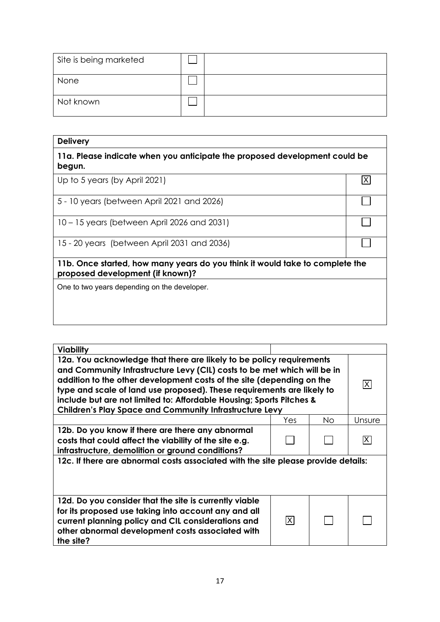| Site is being marketed |  |
|------------------------|--|
| None                   |  |
| Not known              |  |

| <b>Delivery</b>                                                                                                  |   |
|------------------------------------------------------------------------------------------------------------------|---|
| 11a. Please indicate when you anticipate the proposed development could be<br>begun.                             |   |
| Up to 5 years (by April 2021)                                                                                    | X |
| 5 - 10 years (between April 2021 and 2026)                                                                       |   |
| 10 – 15 years (between April 2026 and 2031)                                                                      |   |
| 15 - 20 years (between April 2031 and 2036)                                                                      |   |
| 11b. Once started, how many years do you think it would take to complete the<br>proposed development (if known)? |   |
| One to two years depending on the developer.                                                                     |   |
|                                                                                                                  |   |

| <b>Viability</b>                                                                                                                                                                                                                                                                                                                                                                                                                              |     |    |        |
|-----------------------------------------------------------------------------------------------------------------------------------------------------------------------------------------------------------------------------------------------------------------------------------------------------------------------------------------------------------------------------------------------------------------------------------------------|-----|----|--------|
| 12a. You acknowledge that there are likely to be policy requirements<br>and Community Infrastructure Levy (CIL) costs to be met which will be in<br>addition to the other development costs of the site (depending on the<br>type and scale of land use proposed). These requirements are likely to<br>include but are not limited to: Affordable Housing; Sports Pitches &<br><b>Children's Play Space and Community Infrastructure Levy</b> |     |    | X      |
|                                                                                                                                                                                                                                                                                                                                                                                                                                               | Yes | No | Unsure |
| 12b. Do you know if there are there any abnormal<br>costs that could affect the viability of the site e.g.<br>infrastructure, demolition or ground conditions?                                                                                                                                                                                                                                                                                |     |    | X)     |
| 12c. If there are abnormal costs associated with the site please provide details:                                                                                                                                                                                                                                                                                                                                                             |     |    |        |
| 12d. Do you consider that the site is currently viable<br>for its proposed use taking into account any and all<br>current planning policy and CIL considerations and<br>other abnormal development costs associated with<br>the site?                                                                                                                                                                                                         | X   |    |        |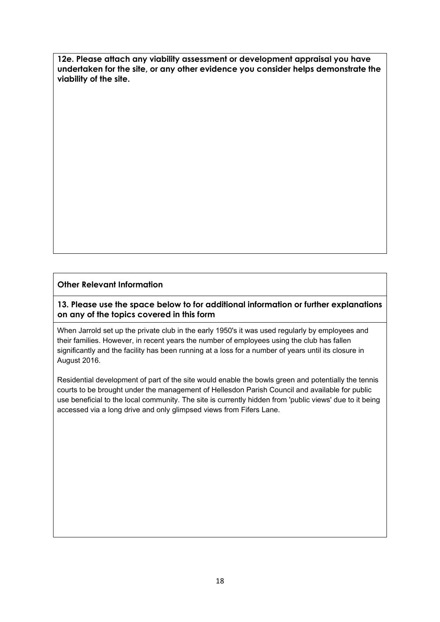**12e. Please attach any viability assessment or development appraisal you have undertaken for the site, or any other evidence you consider helps demonstrate the viability of the site.** 

## **Other Relevant Information**

## **13. Please use the space below to for additional information or further explanations on any of the topics covered in this form**

When Jarrold set up the private club in the early 1950's it was used regularly by employees and their families. However, in recent years the number of employees using the club has fallen significantly and the facility has been running at a loss for a number of years until its closure in August 2016.

Residential development of part of the site would enable the bowls green and potentially the tennis courts to be brought under the management of Hellesdon Parish Council and available for public use beneficial to the local community. The site is currently hidden from 'public views' due to it being accessed via a long drive and only glimpsed views from Fifers Lane.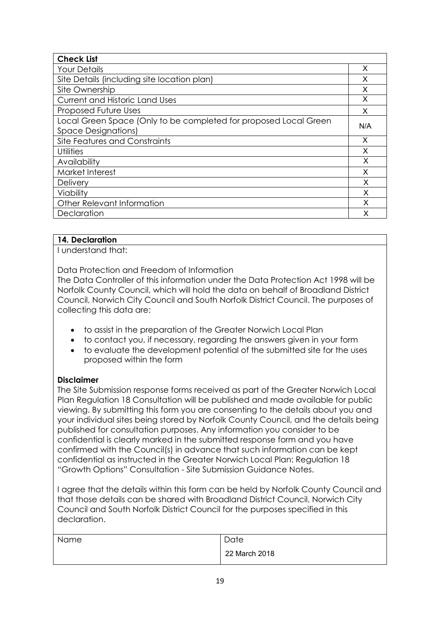| <b>Check List</b>                                                |     |
|------------------------------------------------------------------|-----|
| <b>Your Details</b>                                              | X   |
| Site Details (including site location plan)                      | х   |
| Site Ownership                                                   | X   |
| Current and Historic Land Uses                                   | X   |
| Proposed Future Uses                                             | X   |
| Local Green Space (Only to be completed for proposed Local Green | N/A |
| <b>Space Designations)</b>                                       |     |
| Site Features and Constraints                                    | X   |
| Utilities                                                        | X   |
| Availability                                                     | X   |
| Market Interest                                                  | X   |
| <b>Delivery</b>                                                  | X   |
| Viability                                                        | X   |
| Other Relevant Information                                       | X   |
| Declaration                                                      | x   |

# **14. Declaration**

I understand that:

Data Protection and Freedom of Information

The Data Controller of this information under the Data Protection Act 1998 will be Norfolk County Council, which will hold the data on behalf of Broadland District Council, Norwich City Council and South Norfolk District Council. The purposes of collecting this data are:

- to assist in the preparation of the Greater Norwich Local Plan
- to contact you, if necessary, regarding the answers given in your form
- to evaluate the development potential of the submitted site for the uses proposed within the form

## **Disclaimer**

The Site Submission response forms received as part of the Greater Norwich Local Plan Regulation 18 Consultation will be published and made available for public viewing. By submitting this form you are consenting to the details about you and your individual sites being stored by Norfolk County Council, and the details being published for consultation purposes. Any information you consider to be confidential is clearly marked in the submitted response form and you have confirmed with the Council(s) in advance that such information can be kept confidential as instructed in the Greater Norwich Local Plan: Regulation 18 "Growth Options" Consultation - Site Submission Guidance Notes.

I agree that the details within this form can be held by Norfolk County Council and that those details can be shared with Broadland District Council, Norwich City Council and South Norfolk District Council for the purposes specified in this declaration.

| Name | Date          |
|------|---------------|
|      | 22 March 2018 |